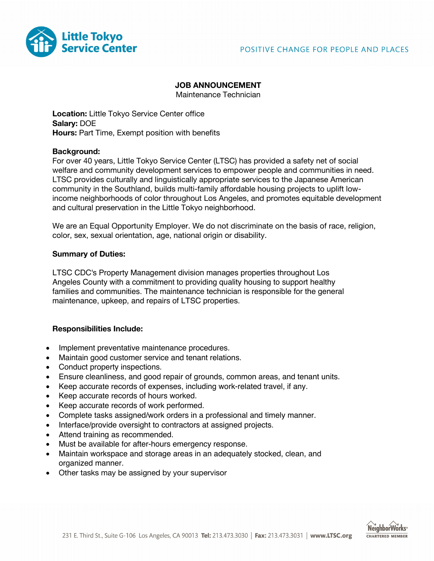

#### **JOB ANNOUNCEMENT**

Maintenance Technician

**Location:** Little Tokyo Service Center office **Salary:** DOE **Hours:** Part Time, Exempt position with benefits

### **Background:**

For over 40 years, Little Tokyo Service Center (LTSC) has provided a safety net of social welfare and community development services to empower people and communities in need. LTSC provides culturally and linguistically appropriate services to the Japanese American community in the Southland, builds multi-family affordable housing projects to uplift lowincome neighborhoods of color throughout Los Angeles, and promotes equitable development and cultural preservation in the Little Tokyo neighborhood.

We are an Equal Opportunity Employer. We do not discriminate on the basis of race, religion, color, sex, sexual orientation, age, national origin or disability.

### **Summary of Duties:**

LTSC CDC's Property Management division manages properties throughout Los Angeles County with a commitment to providing quality housing to support healthy families and communities. The maintenance technician is responsible for the general maintenance, upkeep, and repairs of LTSC properties.

## **Responsibilities Include:**

- Implement preventative maintenance procedures.
- Maintain good customer service and tenant relations.
- Conduct property inspections.
- Ensure cleanliness, and good repair of grounds, common areas, and tenant units.
- Keep accurate records of expenses, including work-related travel, if any.
- Keep accurate records of hours worked.
- Keep accurate records of work performed.
- Complete tasks assigned/work orders in a professional and timely manner.
- Interface/provide oversight to contractors at assigned projects.
- Attend training as recommended.
- Must be available for after-hours emergency response.
- Maintain workspace and storage areas in an adequately stocked, clean, and organized manner.
- Other tasks may be assigned by your supervisor